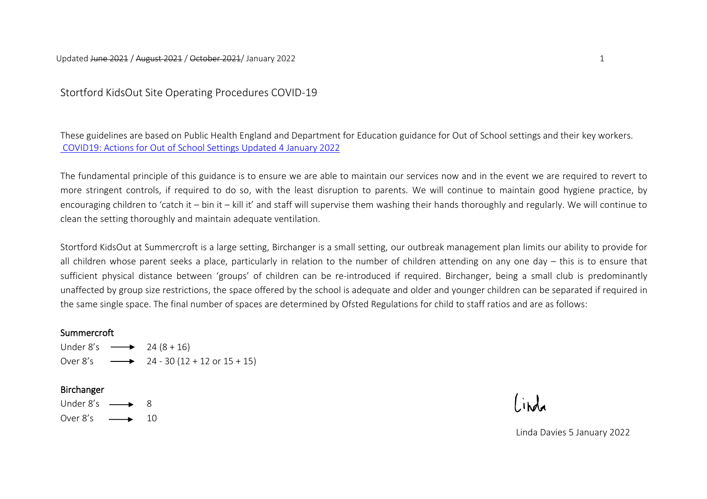Stortford KidsOut Site Operating Procedures COVID-19

These guidelines are based on Public Health England and Department for Education guidance for Out of School settings and their key workers. [COVID19: Actions for Out of School Settings Updated 4 January 2022](https://assets.publishing.service.gov.uk/government/uploads/system/uploads/attachment_data/file/1044531/OOSS_Provider_guidance.pdf)

The fundamental principle of this guidance is to ensure we are able to maintain our services now and in the event we are required to revert to more stringent controls, if required to do so, with the least disruption to parents. We will continue to maintain good hygiene practice, by encouraging children to 'catch it – bin it – kill it' and staff will supervise them washing their hands thoroughly and regularly. We will continue to clean the setting thoroughly and maintain adequate ventilation.

Stortford KidsOut at Summercroft is a large setting, Birchanger is a small setting, our outbreak management plan limits our ability to provide for all children whose parent seeks a place, particularly in relation to the number of children attending on any one day – this is to ensure that sufficient physical distance between 'groups' of children can be re-introduced if required. Birchanger, being a small club is predominantly unaffected by group size restrictions, the space offered by the school is adequate and older and younger children can be separated if required in the same single space. The final number of spaces are determined by Ofsted Regulations for child to staff ratios and are as follows:

## **Summercroft**

Under 8's  $\longrightarrow$  24 (8 + 16) Over  $8's \longrightarrow 24 - 30 (12 + 12)$  or  $15 + 15$ 

## Birchanger

Under  $8's \rightarrow 8$ Over  $8's \longrightarrow 10$ 

Linda Davies 5 January 2022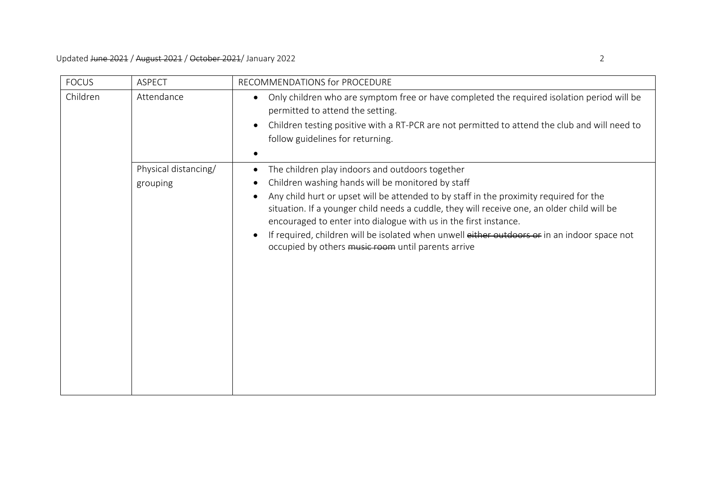| <b>FOCUS</b> | <b>ASPECT</b>                    | RECOMMENDATIONS for PROCEDURE                                                                                                                                                                                                                                                                                                                                                                                                                                                                                                                                  |
|--------------|----------------------------------|----------------------------------------------------------------------------------------------------------------------------------------------------------------------------------------------------------------------------------------------------------------------------------------------------------------------------------------------------------------------------------------------------------------------------------------------------------------------------------------------------------------------------------------------------------------|
| Children     | Attendance                       | Only children who are symptom free or have completed the required isolation period will be<br>$\bullet$<br>permitted to attend the setting.<br>Children testing positive with a RT-PCR are not permitted to attend the club and will need to<br>$\bullet$<br>follow guidelines for returning.                                                                                                                                                                                                                                                                  |
|              | Physical distancing/<br>grouping | The children play indoors and outdoors together<br>$\bullet$<br>Children washing hands will be monitored by staff<br>$\bullet$<br>Any child hurt or upset will be attended to by staff in the proximity required for the<br>situation. If a younger child needs a cuddle, they will receive one, an older child will be<br>encouraged to enter into dialogue with us in the first instance.<br>If required, children will be isolated when unwell either outdoors or in an indoor space not<br>$\bullet$<br>occupied by others music room until parents arrive |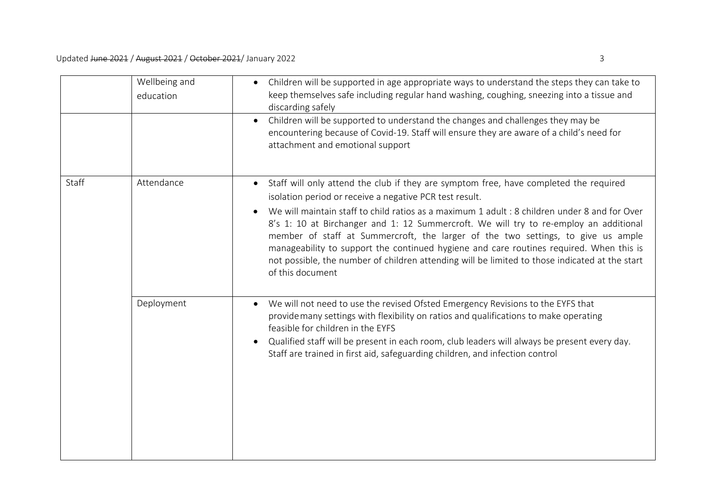|       | Wellbeing and<br>education | Children will be supported in age appropriate ways to understand the steps they can take to<br>$\bullet$<br>keep themselves safe including regular hand washing, coughing, sneezing into a tissue and<br>discarding safely                                                                                                                                                                                                                                                                                                                                                                                                                                   |
|-------|----------------------------|--------------------------------------------------------------------------------------------------------------------------------------------------------------------------------------------------------------------------------------------------------------------------------------------------------------------------------------------------------------------------------------------------------------------------------------------------------------------------------------------------------------------------------------------------------------------------------------------------------------------------------------------------------------|
|       |                            | Children will be supported to understand the changes and challenges they may be<br>$\bullet$<br>encountering because of Covid-19. Staff will ensure they are aware of a child's need for<br>attachment and emotional support                                                                                                                                                                                                                                                                                                                                                                                                                                 |
| Staff | Attendance                 | Staff will only attend the club if they are symptom free, have completed the required<br>$\bullet$<br>isolation period or receive a negative PCR test result.<br>We will maintain staff to child ratios as a maximum 1 adult : 8 children under 8 and for Over<br>8's 1: 10 at Birchanger and 1: 12 Summercroft. We will try to re-employ an additional<br>member of staff at Summercroft, the larger of the two settings, to give us ample<br>manageability to support the continued hygiene and care routines required. When this is<br>not possible, the number of children attending will be limited to those indicated at the start<br>of this document |
|       | Deployment                 | We will not need to use the revised Ofsted Emergency Revisions to the EYFS that<br>provide many settings with flexibility on ratios and qualifications to make operating<br>feasible for children in the EYFS<br>Qualified staff will be present in each room, club leaders will always be present every day.<br>$\bullet$<br>Staff are trained in first aid, safeguarding children, and infection control                                                                                                                                                                                                                                                   |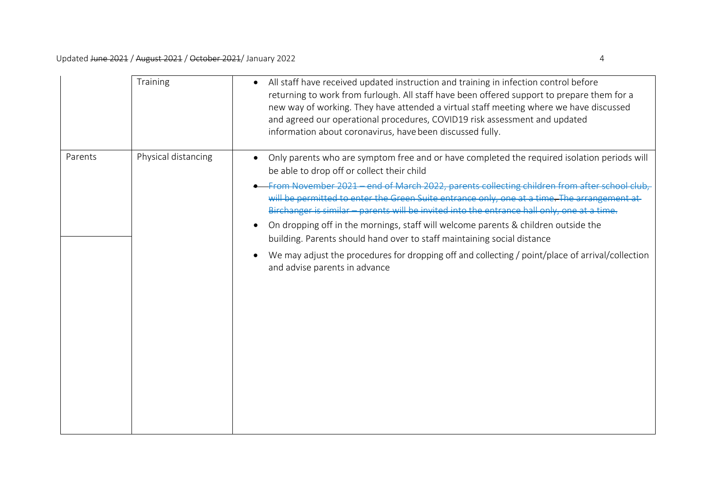|         | Training            | All staff have received updated instruction and training in infection control before<br>returning to work from furlough. All staff have been offered support to prepare them for a<br>new way of working. They have attended a virtual staff meeting where we have discussed<br>and agreed our operational procedures, COVID19 risk assessment and updated<br>information about coronavirus, have been discussed fully.                                                                                                                                                                                                                                                                                                             |
|---------|---------------------|-------------------------------------------------------------------------------------------------------------------------------------------------------------------------------------------------------------------------------------------------------------------------------------------------------------------------------------------------------------------------------------------------------------------------------------------------------------------------------------------------------------------------------------------------------------------------------------------------------------------------------------------------------------------------------------------------------------------------------------|
| Parents | Physical distancing | Only parents who are symptom free and or have completed the required isolation periods will<br>be able to drop off or collect their child<br>From November 2021 - end of March 2022, parents collecting children from after sch<br>will be permitted to enter the Green Suite entrance only, one at a time. The arrangement at<br>Birchanger is similar - parents will be invited into the entrance hall only, one at a time.<br>On dropping off in the mornings, staff will welcome parents & children outside the<br>building. Parents should hand over to staff maintaining social distance<br>We may adjust the procedures for dropping off and collecting / point/place of arrival/collection<br>and advise parents in advance |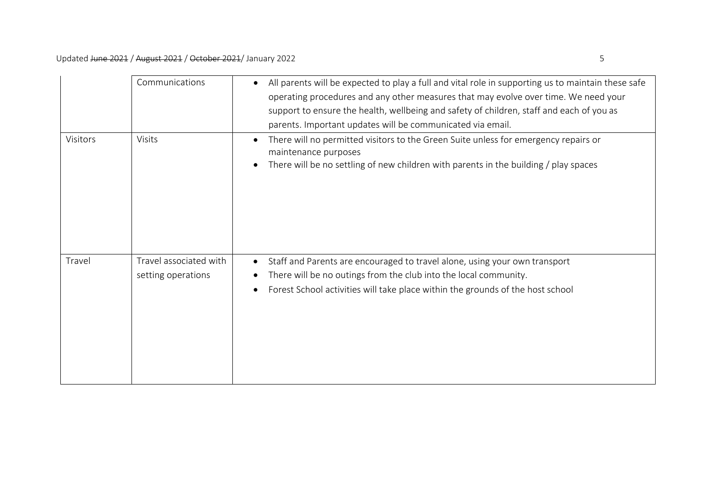|          | Communications                               | All parents will be expected to play a full and vital role in supporting us to maintain these safe<br>$\bullet$<br>operating procedures and any other measures that may evolve over time. We need your<br>support to ensure the health, wellbeing and safety of children, staff and each of you as<br>parents. Important updates will be communicated via email. |
|----------|----------------------------------------------|------------------------------------------------------------------------------------------------------------------------------------------------------------------------------------------------------------------------------------------------------------------------------------------------------------------------------------------------------------------|
| Visitors | Visits                                       | There will no permitted visitors to the Green Suite unless for emergency repairs or<br>$\bullet$<br>maintenance purposes<br>There will be no settling of new children with parents in the building / play spaces<br>$\bullet$                                                                                                                                    |
| Travel   | Travel associated with<br>setting operations | Staff and Parents are encouraged to travel alone, using your own transport<br>$\bullet$<br>There will be no outings from the club into the local community.<br>$\bullet$<br>Forest School activities will take place within the grounds of the host school<br>$\bullet$                                                                                          |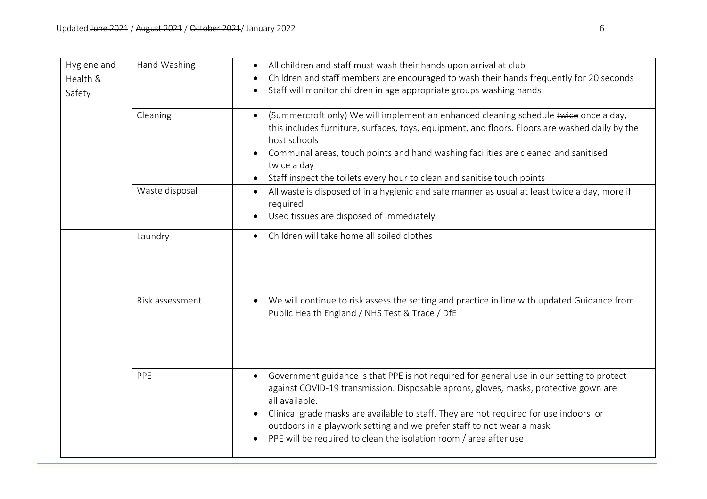| Hygiene and<br>Health &<br>Safety | Hand Washing    | All children and staff must wash their hands upon arrival at club<br>Children and staff members are encouraged to wash their hands frequently for 20 seconds<br>Staff will monitor children in age appropriate groups washing hands                                                                                                                                                                                                                     |
|-----------------------------------|-----------------|---------------------------------------------------------------------------------------------------------------------------------------------------------------------------------------------------------------------------------------------------------------------------------------------------------------------------------------------------------------------------------------------------------------------------------------------------------|
|                                   | Cleaning        | (Summercroft only) We will implement an enhanced cleaning schedule twice once a day,<br>$\bullet$<br>this includes furniture, surfaces, toys, equipment, and floors. Floors are washed daily by the<br>host schools<br>Communal areas, touch points and hand washing facilities are cleaned and sanitised<br>twice a day<br>Staff inspect the toilets every hour to clean and sanitise touch points                                                     |
|                                   | Waste disposal  | All waste is disposed of in a hygienic and safe manner as usual at least twice a day, more if<br>required<br>Used tissues are disposed of immediately                                                                                                                                                                                                                                                                                                   |
|                                   | Laundry         | Children will take home all soiled clothes<br>$\bullet$                                                                                                                                                                                                                                                                                                                                                                                                 |
|                                   | Risk assessment | We will continue to risk assess the setting and practice in line with updated Guidance from<br>$\bullet$<br>Public Health England / NHS Test & Trace / DfE                                                                                                                                                                                                                                                                                              |
|                                   | PPE             | Government guidance is that PPE is not required for general use in our setting to protect<br>against COVID-19 transmission. Disposable aprons, gloves, masks, protective gown are<br>all available.<br>Clinical grade masks are available to staff. They are not required for use indoors or<br>outdoors in a playwork setting and we prefer staff to not wear a mask<br>PPE will be required to clean the isolation room / area after use<br>$\bullet$ |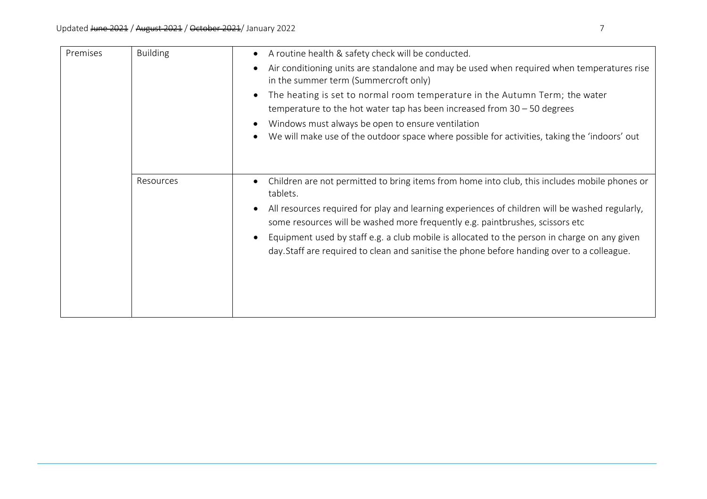| Premises | <b>Building</b> | A routine health & safety check will be conducted.<br>Air conditioning units are standalone and may be used when required when temperatures rise<br>in the summer term (Summercroft only)<br>The heating is set to normal room temperature in the Autumn Term; the water<br>temperature to the hot water tap has been increased from $30 - 50$ degrees<br>Windows must always be open to ensure ventilation<br>We will make use of the outdoor space where possible for activities, taking the 'indoors' out |
|----------|-----------------|--------------------------------------------------------------------------------------------------------------------------------------------------------------------------------------------------------------------------------------------------------------------------------------------------------------------------------------------------------------------------------------------------------------------------------------------------------------------------------------------------------------|
|          | Resources       | Children are not permitted to bring items from home into club, this includes mobile phones or<br>tablets.<br>All resources required for play and learning experiences of children will be washed regularly,<br>some resources will be washed more frequently e.g. paintbrushes, scissors etc<br>Equipment used by staff e.g. a club mobile is allocated to the person in charge on any given<br>day. Staff are required to clean and sanitise the phone before handing over to a colleague.                  |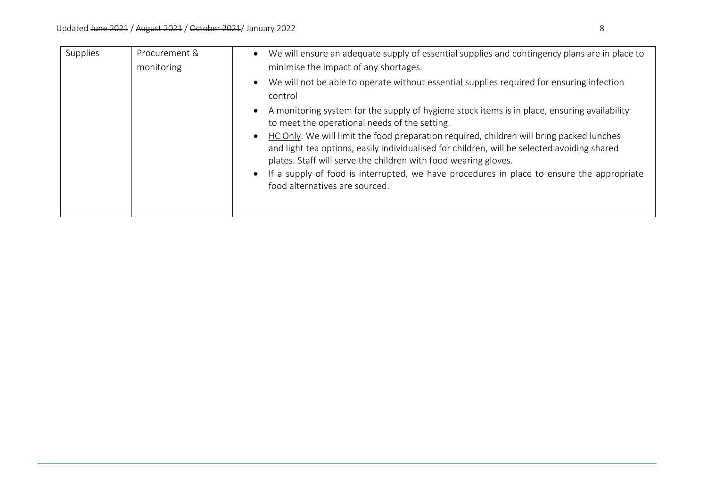| Supplies | Procurement &<br>monitoring | We will ensure an adequate supply of essential supplies and contingency plans are in place to<br>$\bullet$<br>minimise the impact of any shortages.                                                                                                                                                                                                                               |
|----------|-----------------------------|-----------------------------------------------------------------------------------------------------------------------------------------------------------------------------------------------------------------------------------------------------------------------------------------------------------------------------------------------------------------------------------|
|          |                             | We will not be able to operate without essential supplies required for ensuring infection<br>$\bullet$<br>control                                                                                                                                                                                                                                                                 |
|          |                             | A monitoring system for the supply of hygiene stock items is in place, ensuring availability<br>$\bullet$<br>to meet the operational needs of the setting.                                                                                                                                                                                                                        |
|          |                             | HC Only. We will limit the food preparation required, children will bring packed lunches<br>$\bullet$<br>and light tea options, easily individualised for children, will be selected avoiding shared<br>plates. Staff will serve the children with food wearing gloves.<br>If a supply of food is interrupted, we have procedures in place to ensure the appropriate<br>$\bullet$ |
|          |                             | food alternatives are sourced.                                                                                                                                                                                                                                                                                                                                                    |